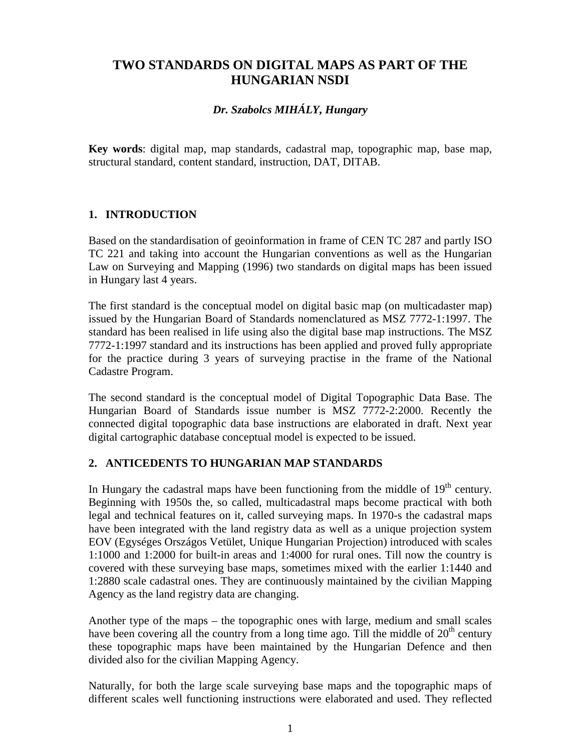## **TWO STANDARDS ON DIGITAL MAPS AS PART OF THE HUNGARIAN NSDI**

## *Dr. Szabolcs MIHÁLY, Hungary*

**Key words**: digital map, map standards, cadastral map, topographic map, base map, structural standard, content standard, instruction, DAT, DITAB.

## **1. INTRODUCTION**

Based on the standardisation of geoinformation in frame of CEN TC 287 and partly ISO TC 221 and taking into account the Hungarian conventions as well as the Hungarian Law on Surveying and Mapping (1996) two standards on digital maps has been issued in Hungary last 4 years.

The first standard is the conceptual model on digital basic map (on multicadaster map) issued by the Hungarian Board of Standards nomenclatured as MSZ 7772-1:1997. The standard has been realised in life using also the digital base map instructions. The MSZ 7772-1:1997 standard and its instructions has been applied and proved fully appropriate for the practice during 3 years of surveying practise in the frame of the National Cadastre Program.

The second standard is the conceptual model of Digital Topographic Data Base. The Hungarian Board of Standards issue number is MSZ 7772-2:2000. Recently the connected digital topographic data base instructions are elaborated in draft. Next year digital cartographic database conceptual model is expected to be issued.

#### **2. ANTICEDENTS TO HUNGARIAN MAP STANDARDS**

In Hungary the cadastral maps have been functioning from the middle of 19<sup>th</sup> century. Beginning with 1950s the, so called, multicadastral maps become practical with both legal and technical features on it, called surveying maps. In 1970-s the cadastral maps have been integrated with the land registry data as well as a unique projection system EOV (Egységes Országos Vetület, Unique Hungarian Projection) introduced with scales 1:1000 and 1:2000 for built-in areas and 1:4000 for rural ones. Till now the country is covered with these surveying base maps, sometimes mixed with the earlier 1:1440 and 1:2880 scale cadastral ones. They are continuously maintained by the civilian Mapping Agency as the land registry data are changing.

Another type of the maps – the topographic ones with large, medium and small scales have been covering all the country from a long time ago. Till the middle of  $20<sup>th</sup>$  century these topographic maps have been maintained by the Hungarian Defence and then divided also for the civilian Mapping Agency.

Naturally, for both the large scale surveying base maps and the topographic maps of different scales well functioning instructions were elaborated and used. They reflected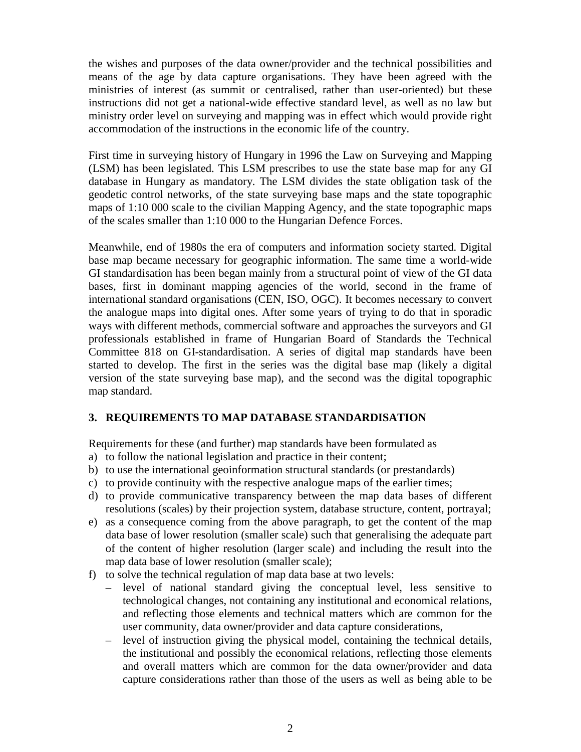the wishes and purposes of the data owner/provider and the technical possibilities and means of the age by data capture organisations. They have been agreed with the ministries of interest (as summit or centralised, rather than user-oriented) but these instructions did not get a national-wide effective standard level, as well as no law but ministry order level on surveying and mapping was in effect which would provide right accommodation of the instructions in the economic life of the country.

First time in surveying history of Hungary in 1996 the Law on Surveying and Mapping (LSM) has been legislated. This LSM prescribes to use the state base map for any GI database in Hungary as mandatory. The LSM divides the state obligation task of the geodetic control networks, of the state surveying base maps and the state topographic maps of 1:10 000 scale to the civilian Mapping Agency, and the state topographic maps of the scales smaller than 1:10 000 to the Hungarian Defence Forces.

Meanwhile, end of 1980s the era of computers and information society started. Digital base map became necessary for geographic information. The same time a world-wide GI standardisation has been began mainly from a structural point of view of the GI data bases, first in dominant mapping agencies of the world, second in the frame of international standard organisations (CEN, ISO, OGC). It becomes necessary to convert the analogue maps into digital ones. After some years of trying to do that in sporadic ways with different methods, commercial software and approaches the surveyors and GI professionals established in frame of Hungarian Board of Standards the Technical Committee 818 on GI-standardisation. A series of digital map standards have been started to develop. The first in the series was the digital base map (likely a digital version of the state surveying base map), and the second was the digital topographic map standard.

#### **3. REQUIREMENTS TO MAP DATABASE STANDARDISATION**

Requirements for these (and further) map standards have been formulated as

- a) to follow the national legislation and practice in their content;
- b) to use the international geoinformation structural standards (or prestandards)
- c) to provide continuity with the respective analogue maps of the earlier times;
- d) to provide communicative transparency between the map data bases of different resolutions (scales) by their projection system, database structure, content, portrayal;
- e) as a consequence coming from the above paragraph, to get the content of the map data base of lower resolution (smaller scale) such that generalising the adequate part of the content of higher resolution (larger scale) and including the result into the map data base of lower resolution (smaller scale);
- f) to solve the technical regulation of map data base at two levels:
	- level of national standard giving the conceptual level, less sensitive to technological changes, not containing any institutional and economical relations, and reflecting those elements and technical matters which are common for the user community, data owner/provider and data capture considerations,
	- level of instruction giving the physical model, containing the technical details, the institutional and possibly the economical relations, reflecting those elements and overall matters which are common for the data owner/provider and data capture considerations rather than those of the users as well as being able to be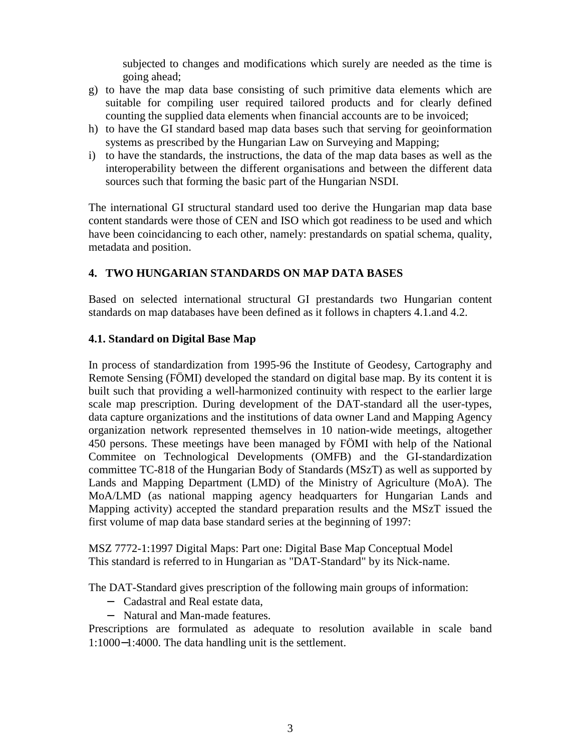subjected to changes and modifications which surely are needed as the time is going ahead;

- g) to have the map data base consisting of such primitive data elements which are suitable for compiling user required tailored products and for clearly defined counting the supplied data elements when financial accounts are to be invoiced;
- h) to have the GI standard based map data bases such that serving for geoinformation systems as prescribed by the Hungarian Law on Surveying and Mapping;
- i) to have the standards, the instructions, the data of the map data bases as well as the interoperability between the different organisations and between the different data sources such that forming the basic part of the Hungarian NSDI.

The international GI structural standard used too derive the Hungarian map data base content standards were those of CEN and ISO which got readiness to be used and which have been coincidancing to each other, namely: prestandards on spatial schema, quality, metadata and position.

#### **4. TWO HUNGARIAN STANDARDS ON MAP DATA BASES**

Based on selected international structural GI prestandards two Hungarian content standards on map databases have been defined as it follows in chapters 4.1.and 4.2.

#### **4.1. Standard on Digital Base Map**

In process of standardization from 1995-96 the Institute of Geodesy, Cartography and Remote Sensing (FÖMI) developed the standard on digital base map. By its content it is built such that providing a well-harmonized continuity with respect to the earlier large scale map prescription. During development of the DAT-standard all the user-types, data capture organizations and the institutions of data owner Land and Mapping Agency organization network represented themselves in 10 nation-wide meetings, altogether 450 persons. These meetings have been managed by FÖMI with help of the National Commitee on Technological Developments (OMFB) and the GI-standardization committee TC-818 of the Hungarian Body of Standards (MSzT) as well as supported by Lands and Mapping Department (LMD) of the Ministry of Agriculture (MoA). The MoA/LMD (as national mapping agency headquarters for Hungarian Lands and Mapping activity) accepted the standard preparation results and the MSzT issued the first volume of map data base standard series at the beginning of 1997:

MSZ 7772-1:1997 Digital Maps: Part one: Digital Base Map Conceptual Model This standard is referred to in Hungarian as "DAT-Standard" by its Nick-name.

The DAT-Standard gives prescription of the following main groups of information:

- − Cadastral and Real estate data,
- − Natural and Man-made features.

Prescriptions are formulated as adequate to resolution available in scale band 1:1000−1:4000. The data handling unit is the settlement.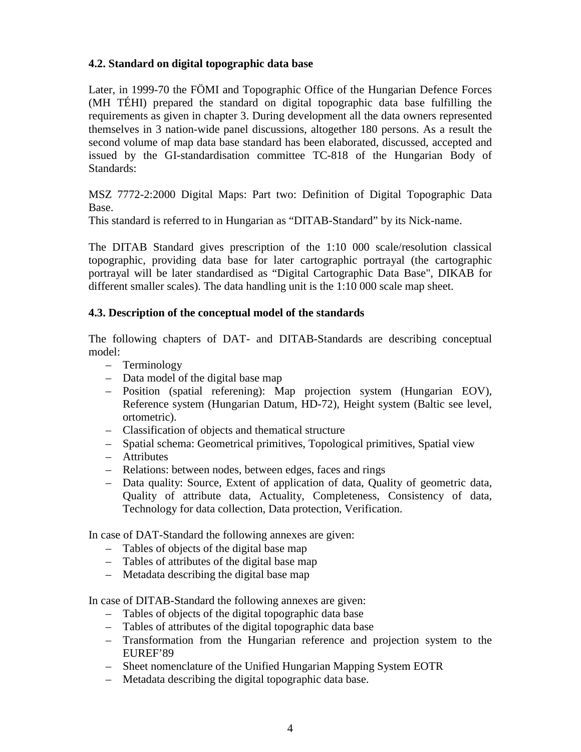## **4.2. Standard on digital topographic data base**

Later, in 1999-70 the FÖMI and Topographic Office of the Hungarian Defence Forces (MH TÉHI) prepared the standard on digital topographic data base fulfilling the requirements as given in chapter 3. During development all the data owners represented themselves in 3 nation-wide panel discussions, altogether 180 persons. As a result the second volume of map data base standard has been elaborated, discussed, accepted and issued by the GI-standardisation committee TC-818 of the Hungarian Body of Standards:

MSZ 7772-2:2000 Digital Maps: Part two: Definition of Digital Topographic Data Base.

This standard is referred to in Hungarian as "DITAB-Standard" by its Nick-name.

The DITAB Standard gives prescription of the 1:10 000 scale/resolution classical topographic, providing data base for later cartographic portrayal (the cartographic portrayal will be later standardised as "Digital Cartographic Data Base", DIKAB for different smaller scales). The data handling unit is the 1:10 000 scale map sheet.

#### **4.3. Description of the conceptual model of the standards**

The following chapters of DAT- and DITAB-Standards are describing conceptual model:

- Terminology
- Data model of the digital base map
- Position (spatial referening): Map projection system (Hungarian EOV), Reference system (Hungarian Datum, HD-72), Height system (Baltic see level, ortometric).
- Classification of objects and thematical structure
- Spatial schema: Geometrical primitives, Topological primitives, Spatial view
- Attributes
- Relations: between nodes, between edges, faces and rings
- Data quality: Source, Extent of application of data, Quality of geometric data, Quality of attribute data, Actuality, Completeness, Consistency of data, Technology for data collection, Data protection, Verification.

In case of DAT-Standard the following annexes are given:

- Tables of objects of the digital base map
- Tables of attributes of the digital base map
- Metadata describing the digital base map

In case of DITAB-Standard the following annexes are given:

- Tables of objects of the digital topographic data base
- Tables of attributes of the digital topographic data base
- Transformation from the Hungarian reference and projection system to the EUREF'89
- Sheet nomenclature of the Unified Hungarian Mapping System EOTR
- Metadata describing the digital topographic data base.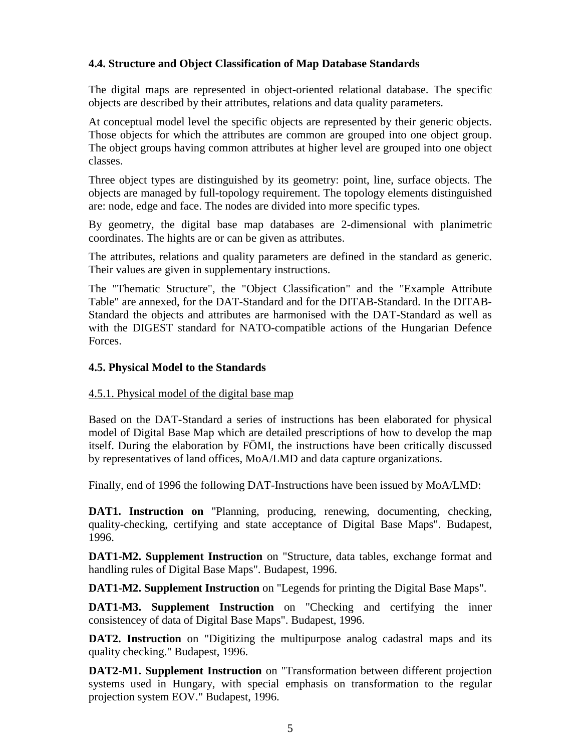## **4.4. Structure and Object Classification of Map Database Standards**

The digital maps are represented in object-oriented relational database. The specific objects are described by their attributes, relations and data quality parameters.

At conceptual model level the specific objects are represented by their generic objects. Those objects for which the attributes are common are grouped into one object group. The object groups having common attributes at higher level are grouped into one object classes.

Three object types are distinguished by its geometry: point, line, surface objects. The objects are managed by full-topology requirement. The topology elements distinguished are: node, edge and face. The nodes are divided into more specific types.

By geometry, the digital base map databases are 2-dimensional with planimetric coordinates. The hights are or can be given as attributes.

The attributes, relations and quality parameters are defined in the standard as generic. Their values are given in supplementary instructions.

The "Thematic Structure", the "Object Classification" and the "Example Attribute Table" are annexed, for the DAT-Standard and for the DITAB-Standard. In the DITAB-Standard the objects and attributes are harmonised with the DAT-Standard as well as with the DIGEST standard for NATO-compatible actions of the Hungarian Defence Forces.

#### **4.5. Physical Model to the Standards**

#### 4.5.1. Physical model of the digital base map

Based on the DAT-Standard a series of instructions has been elaborated for physical model of Digital Base Map which are detailed prescriptions of how to develop the map itself. During the elaboration by FÖMI, the instructions have been critically discussed by representatives of land offices, MoA/LMD and data capture organizations.

Finally, end of 1996 the following DAT-Instructions have been issued by MoA/LMD:

**DAT1. Instruction on** "Planning, producing, renewing, documenting, checking, quality-checking, certifying and state acceptance of Digital Base Maps". Budapest, 1996.

**DAT1-M2. Supplement Instruction** on "Structure, data tables, exchange format and handling rules of Digital Base Maps". Budapest, 1996.

**DAT1-M2. Supplement Instruction** on "Legends for printing the Digital Base Maps".

**DAT1-M3.** Supplement Instruction on "Checking and certifying the inner consistencey of data of Digital Base Maps". Budapest, 1996.

**DAT2. Instruction** on "Digitizing the multipurpose analog cadastral maps and its quality checking." Budapest, 1996.

**DAT2-M1. Supplement Instruction** on "Transformation between different projection systems used in Hungary, with special emphasis on transformation to the regular projection system EOV." Budapest, 1996.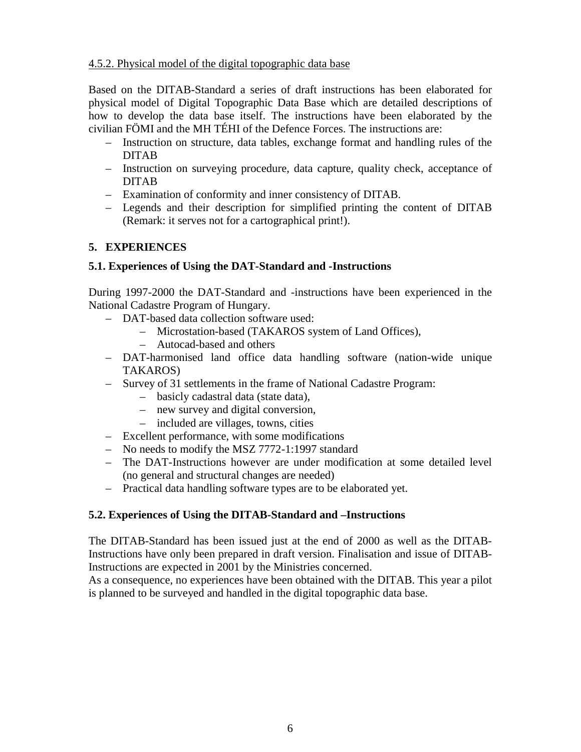## 4.5.2. Physical model of the digital topographic data base

Based on the DITAB-Standard a series of draft instructions has been elaborated for physical model of Digital Topographic Data Base which are detailed descriptions of how to develop the data base itself. The instructions have been elaborated by the civilian FÖMI and the MH TÉHI of the Defence Forces. The instructions are:

- Instruction on structure, data tables, exchange format and handling rules of the DITAB
- Instruction on surveying procedure, data capture, quality check, acceptance of DITAB
- Examination of conformity and inner consistency of DITAB.
- Legends and their description for simplified printing the content of DITAB (Remark: it serves not for a cartographical print!).

## **5. EXPERIENCES**

## **5.1. Experiences of Using the DAT-Standard and -Instructions**

During 1997-2000 the DAT-Standard and -instructions have been experienced in the National Cadastre Program of Hungary.

- DAT-based data collection software used:
	- Microstation-based (TAKAROS system of Land Offices),
	- Autocad-based and others
- DAT-harmonised land office data handling software (nation-wide unique TAKAROS)
- Survey of 31 settlements in the frame of National Cadastre Program:
	- basicly cadastral data (state data),
	- new survey and digital conversion,
	- included are villages, towns, cities
- Excellent performance, with some modifications
- No needs to modify the MSZ 7772-1:1997 standard
- The DAT-Instructions however are under modification at some detailed level (no general and structural changes are needed)
- Practical data handling software types are to be elaborated yet.

## **5.2. Experiences of Using the DITAB-Standard and –Instructions**

The DITAB-Standard has been issued just at the end of 2000 as well as the DITAB-Instructions have only been prepared in draft version. Finalisation and issue of DITAB-Instructions are expected in 2001 by the Ministries concerned.

As a consequence, no experiences have been obtained with the DITAB. This year a pilot is planned to be surveyed and handled in the digital topographic data base.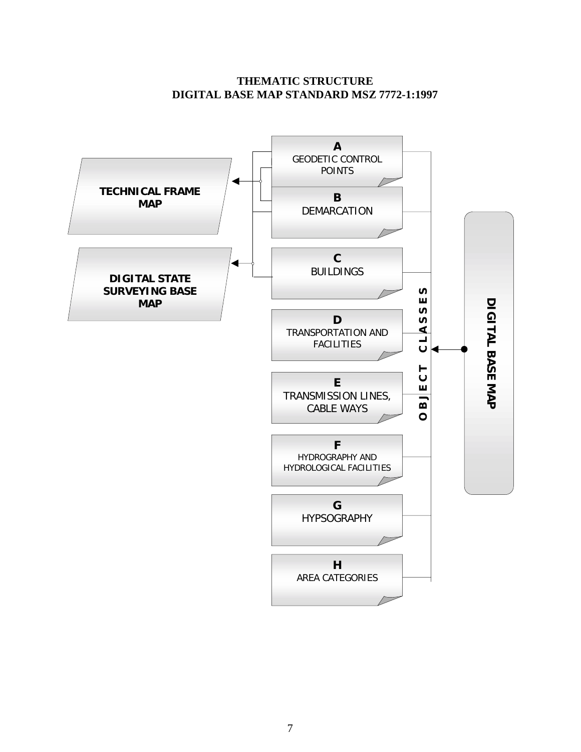## **THEMATIC STRUCTURE DIGITAL BASE MAP STANDARD MSZ 7772-1:1997**

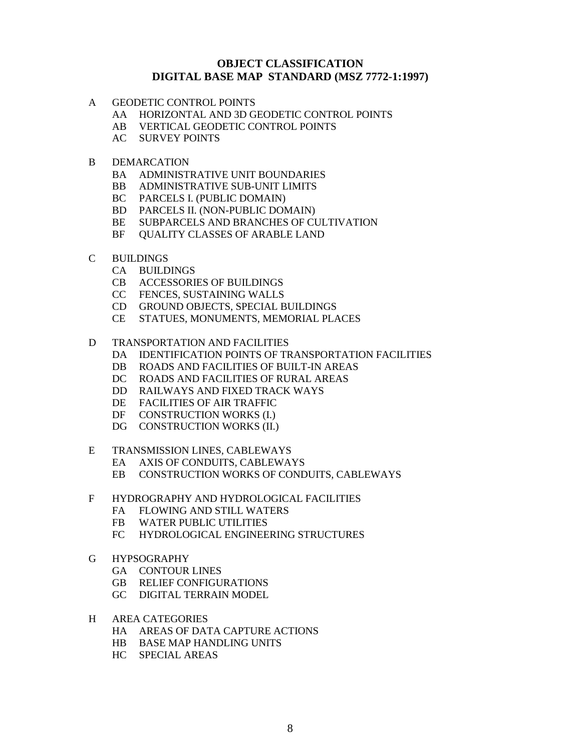#### **OBJECT CLASSIFICATION DIGITAL BASE MAP STANDARD (MSZ 7772-1:1997)**

- A GEODETIC CONTROL POINTS
	- AA HORIZONTAL AND 3D GEODETIC CONTROL POINTS
	- AB VERTICAL GEODETIC CONTROL POINTS
	- AC SURVEY POINTS
- B DEMARCATION
	- BA ADMINISTRATIVE UNIT BOUNDARIES
	- BB ADMINISTRATIVE SUB-UNIT LIMITS
	- BC PARCELS I. (PUBLIC DOMAIN)
	- BD PARCELS II. (NON-PUBLIC DOMAIN)
	- BE SUBPARCELS AND BRANCHES OF CULTIVATION
	- BF QUALITY CLASSES OF ARABLE LAND
- C BUILDINGS
	- CA BUILDINGS
	- CB ACCESSORIES OF BUILDINGS
	- CC FENCES, SUSTAINING WALLS
	- CD GROUND OBJECTS, SPECIAL BUILDINGS
	- CE STATUES, MONUMENTS, MEMORIAL PLACES
- D TRANSPORTATION AND FACILITIES
	- DA IDENTIFICATION POINTS OF TRANSPORTATION FACILITIES
	- DB ROADS AND FACILITIES OF BUILT-IN AREAS
	- DC ROADS AND FACILITIES OF RURAL AREAS
	- DD RAILWAYS AND FIXED TRACK WAYS
	- DE FACILITIES OF AIR TRAFFIC
	- DF CONSTRUCTION WORKS (I.)
	- DG CONSTRUCTION WORKS (II.)
- E TRANSMISSION LINES, CABLEWAYS
	- EA AXIS OF CONDUITS, CABLEWAYS
	- EB CONSTRUCTION WORKS OF CONDUITS, CABLEWAYS
- F HYDROGRAPHY AND HYDROLOGICAL FACILITIES
	- FA FLOWING AND STILL WATERS
	- FB WATER PUBLIC UTILITIES
	- FC HYDROLOGICAL ENGINEERING STRUCTURES
- G HYPSOGRAPHY
	- GA CONTOUR LINES
	- GB RELIEF CONFIGURATIONS
	- GC DIGITAL TERRAIN MODEL
- H AREA CATEGORIES
	- HA AREAS OF DATA CAPTURE ACTIONS
	- HB BASE MAP HANDLING UNITS
	- HC SPECIAL AREAS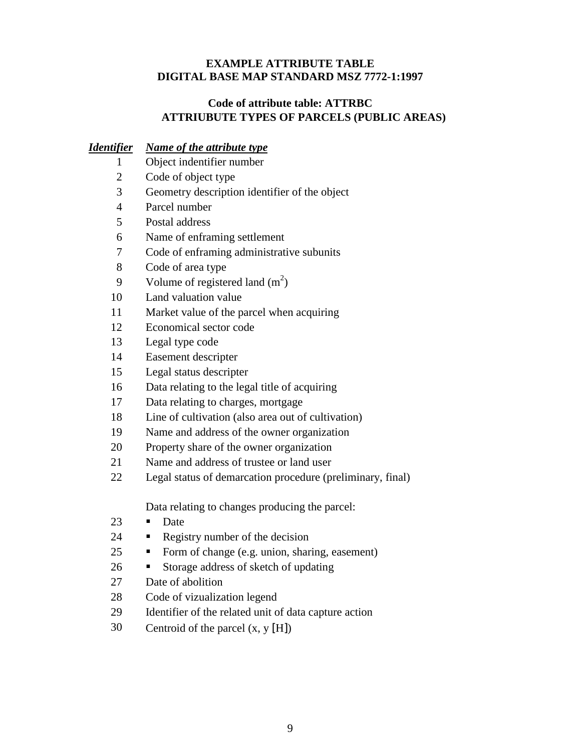## **EXAMPLE ATTRIBUTE TABLE DIGITAL BASE MAP STANDARD MSZ 7772-1:1997**

## **Code of attribute table: ATTRBC ATTRIUBUTE TYPES OF PARCELS (PUBLIC AREAS)**

## *Identifier Name of the attribute type*

- 1 Object indentifier number
- 2 Code of object type
- 3 Geometry description identifier of the object
- 4 Parcel number
- 5 Postal address
- 6 Name of enframing settlement
- 7 Code of enframing administrative subunits
- 8 Code of area type
- 9 Volume of registered land  $(m^2)$
- 10 Land valuation value
- 11 Market value of the parcel when acquiring
- 12 Economical sector code
- 13 Legal type code
- 14 Easement descripter
- 15 Legal status descripter
- 16 Data relating to the legal title of acquiring
- 17 Data relating to charges, mortgage
- 18 Line of cultivation (also area out of cultivation)
- 19 Name and address of the owner organization
- 20 Property share of the owner organization
- 21 Name and address of trustee or land user
- 22 Legal status of demarcation procedure (preliminary, final)

Data relating to changes producing the parcel:

- 23  $\blacksquare$  Date
- 24 Registry number of the decision
- 25 **Form of change (e.g. union, sharing, easement)**
- 26 Storage address of sketch of updating
- 27 Date of abolition
- 28 Code of vizualization legend
- 29 Identifier of the related unit of data capture action
- 30 Centroid of the parcel  $(x, y | H)$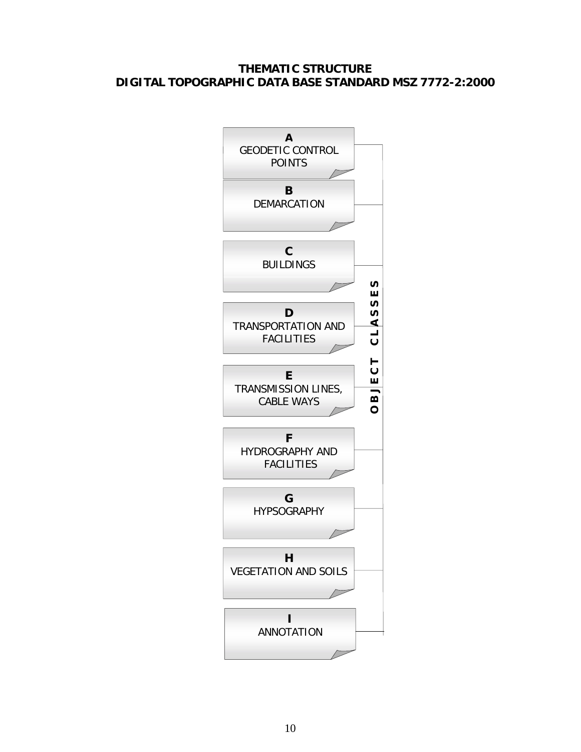## **THEMATIC STRUCTURE DIGITAL TOPOGRAPHIC DATA BASE STANDARD MSZ 7772-2:2000**

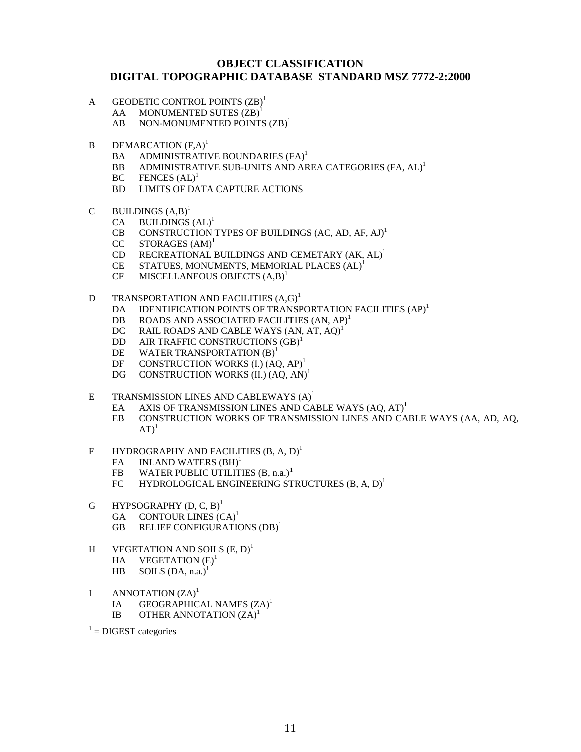#### **OBJECT CLASSIFICATION DIGITAL TOPOGRAPHIC DATABASE STANDARD MSZ 7772-2:2000**

- A GEODETIC CONTROL POINTS  $(ZB)^1$ 
	- $AA$  MONUMENTED SUTES  $(ZB)^1$
	- $AB$  NON-MONUMENTED POINTS  $(ZB)^1$
- $B$  DEMARCATION  $(F.A)^1$ 
	- BA ADMINISTRATIVE BOUNDARIES (FA)<sup>1</sup>
	- BB ADMINISTRATIVE SUB-UNITS AND AREA CATEGORIES (FA, AL)<sup>1</sup>
	- $BC$  FENCES  $(AL)^1$
	- BD LIMITS OF DATA CAPTURE ACTIONS
- C BUILDINGS  $(A,B)^1$ 
	- $CA$  BUILDINGS  $(AL)^1$
	- CB CONSTRUCTION TYPES OF BUILDINGS (AC, AD, AF, AJ)<sup>1</sup>
	- $CC$  STORAGES  $(AM)^1$
	- CD RECREATIONAL BUILDINGS AND CEMETARY (AK, AL)<sup>1</sup>
	- CE STATUES, MONUMENTS, MEMORIAL PLACES (AL)<sup>1</sup>
	- $CF$  MISCELLANEOUS OBJECTS  $(A,B)^1$
- D TRANSPORTATION AND FACILITIES  $(A, G)^1$ 
	- DA IDENTIFICATION POINTS OF TRANSPORTATION FACILITIES (AP)<sup>1</sup>
	- DB ROADS AND ASSOCIATED FACILITIES  $(AN, AP)^1$
	- DC RAIL ROADS AND CABLE WAYS (AN, AT, AQ)<sup>1</sup>
	- DD AIR TRAFFIC CONSTRUCTIONS (GB)<sup>1</sup>
	- DE WATER TRANSPORTATION  $(B)^1$
	- DF CONSTRUCTION WORKS  $(I<sub>1</sub>) (AO, AP)<sup>1</sup>$
	- DG CONSTRUCTION WORKS (II.)  $(AQ, AN)^1$
- E TRANSMISSION LINES AND CABLEWAYS  $(A)^1$ 
	- EA AXIS OF TRANSMISSION LINES AND CABLE WAYS  $(AQ, AT)^1$
	- EB CONSTRUCTION WORKS OF TRANSMISSION LINES AND CABLE WAYS (AA, AD, AQ,  $AT<sup>1</sup>$
- F HYDROGRAPHY AND FACILITIES  $(B, A, D)^1$ 
	- FA INLAND WATERS (BH)<sup>1</sup>
	- FB WATER PUBLIC UTILITIES  $(B, n.a.)<sup>1</sup>$
	- FC HYDROLOGICAL ENGINEERING STRUCTURES  $(B, A, D)^{1}$
- G HYPSOGRAPHY  $(D, C, B)^1$ 
	- GA CONTOUR LINES  $(CA)^1$
	- GB RELIEF CONFIGURATIONS (DB)<sup>1</sup>
- H VEGETATION AND SOILS  $(E, D)^1$ HA VEGETATION  $(E)^1$ HB SOILS  $(DA, n.a.)<sup>1</sup>$
- I ANNOTATION  $(ZA)^1$ IA GEOGRAPHICAL NAMES (ZA)<sup>1</sup> IB OTHER ANNOTATION  $(ZA)^1$

 $1 =$  DIGEST categories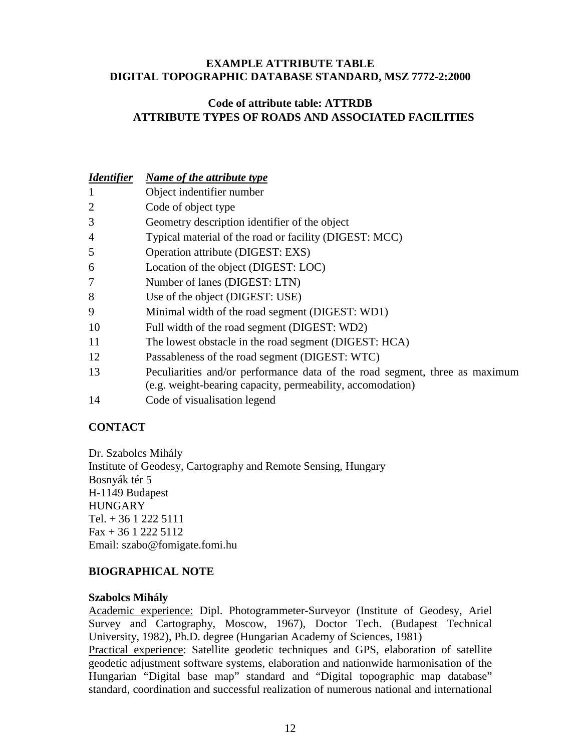### **EXAMPLE ATTRIBUTE TABLE DIGITAL TOPOGRAPHIC DATABASE STANDARD, MSZ 7772-2:2000**

## **Code of attribute table: ATTRDB ATTRIBUTE TYPES OF ROADS AND ASSOCIATED FACILITIES**

| <b>Identifier</b> | Name of the attribute type                                                                                                                         |
|-------------------|----------------------------------------------------------------------------------------------------------------------------------------------------|
| 1                 | Object indentifier number                                                                                                                          |
| 2                 | Code of object type                                                                                                                                |
| 3                 | Geometry description identifier of the object                                                                                                      |
| 4                 | Typical material of the road or facility (DIGEST: MCC)                                                                                             |
| 5                 | Operation attribute (DIGEST: EXS)                                                                                                                  |
| 6                 | Location of the object (DIGEST: LOC)                                                                                                               |
| 7                 | Number of lanes (DIGEST: LTN)                                                                                                                      |
| 8                 | Use of the object (DIGEST: USE)                                                                                                                    |
| 9                 | Minimal width of the road segment (DIGEST: WD1)                                                                                                    |
| 10                | Full width of the road segment (DIGEST: WD2)                                                                                                       |
| 11                | The lowest obstacle in the road segment (DIGEST: HCA)                                                                                              |
| 12                | Passableness of the road segment (DIGEST: WTC)                                                                                                     |
| 13                | Peculiarities and/or performance data of the road segment, three as maximum<br>(e.g. weight-bearing capacity, permeability, accomodation)          |
| 1 <sub>A</sub>    | $\begin{array}{ccccccccccccccccccccccccccccccccccccc} \cap & 1 & \cap & \cdot & \cdot & 1 & \cdot & \cdot & 1 & \cdot & 1 & \cdot & 1 \end{array}$ |

# 14 Code of visualisation legend

## **CONTACT**

Dr. Szabolcs Mihály Institute of Geodesy, Cartography and Remote Sensing, Hungary Bosnyák tér 5 H-1149 Budapest **HUNGARY** Tel.  $+3612225111$  $Fax + 3612225112$ Email: szabo@fomigate.fomi.hu

## **BIOGRAPHICAL NOTE**

#### **Szabolcs Mihály**

Academic experience: Dipl. Photogrammeter-Surveyor (Institute of Geodesy, Ariel Survey and Cartography, Moscow, 1967), Doctor Tech. (Budapest Technical University, 1982), Ph.D. degree (Hungarian Academy of Sciences, 1981)

Practical experience: Satellite geodetic techniques and GPS, elaboration of satellite geodetic adjustment software systems, elaboration and nationwide harmonisation of the Hungarian "Digital base map" standard and "Digital topographic map database" standard, coordination and successful realization of numerous national and international